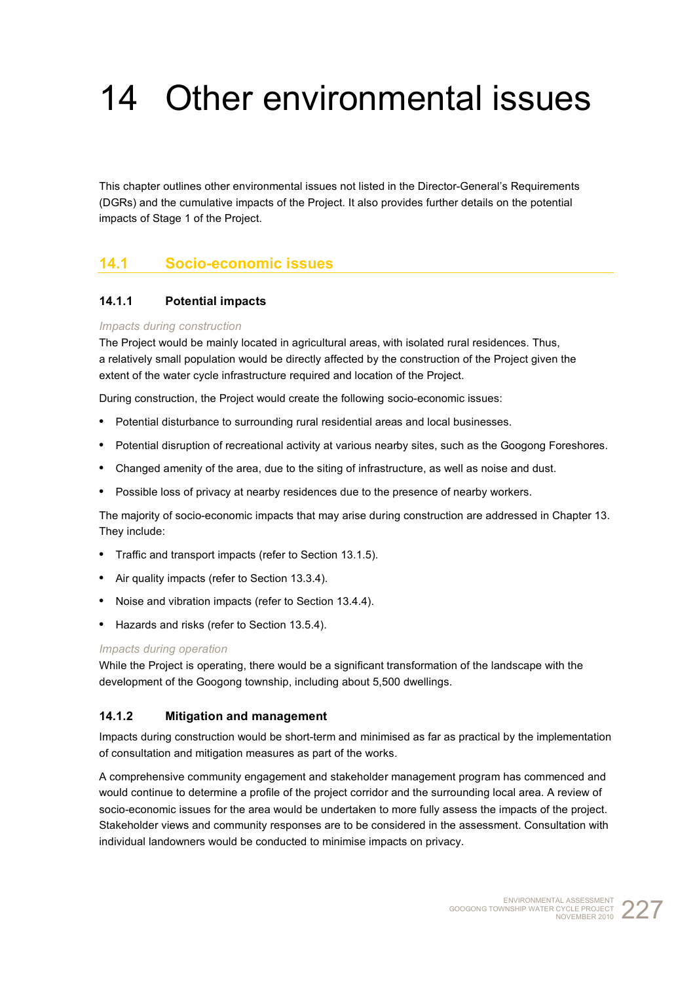# 14 Other environmental issues

This chapter outlines other environmental issues not listed in the Director-General's Requirements (DGRs) and the cumulative impacts of the Project. It also provides further details on the potential impacts of Stage 1 of the Project.

# **14.1 Socio-economic issues**

## **14.1.1 Potential impacts**

#### *Impacts during construction*

The Project would be mainly located in agricultural areas, with isolated rural residences. Thus, a relatively small population would be directly affected by the construction of the Project given the extent of the water cycle infrastructure required and location of the Project.

During construction, the Project would create the following socio-economic issues:

- **•** Potential disturbance to surrounding rural residential areas and local businesses.
- **•** Potential disruption of recreational activity at various nearby sites, such as the Googong Foreshores.
- **•** Changed amenity of the area, due to the siting of infrastructure, as well as noise and dust.
- **•** Possible loss of privacy at nearby residences due to the presence of nearby workers.

The majority of socio-economic impacts that may arise during construction are addressed in Chapter 13. They include:

- **•** Traffic and transport impacts (refer to Section 13.1.5).
- **•** Air quality impacts (refer to Section 13.3.4).
- **•** Noise and vibration impacts (refer to Section 13.4.4).
- **•** Hazards and risks (refer to Section 13.5.4).

#### *Impacts during operation*

While the Project is operating, there would be a significant transformation of the landscape with the development of the Googong township, including about 5,500 dwellings.

#### **14.1.2 Mitigation and management**

Impacts during construction would be short-term and minimised as far as practical by the implementation of consultation and mitigation measures as part of the works.

A comprehensive community engagement and stakeholder management program has commenced and would continue to determine a profile of the project corridor and the surrounding local area. A review of socio-economic issues for the area would be undertaken to more fully assess the impacts of the project. Stakeholder views and community responses are to be considered in the assessment. Consultation with individual landowners would be conducted to minimise impacts on privacy.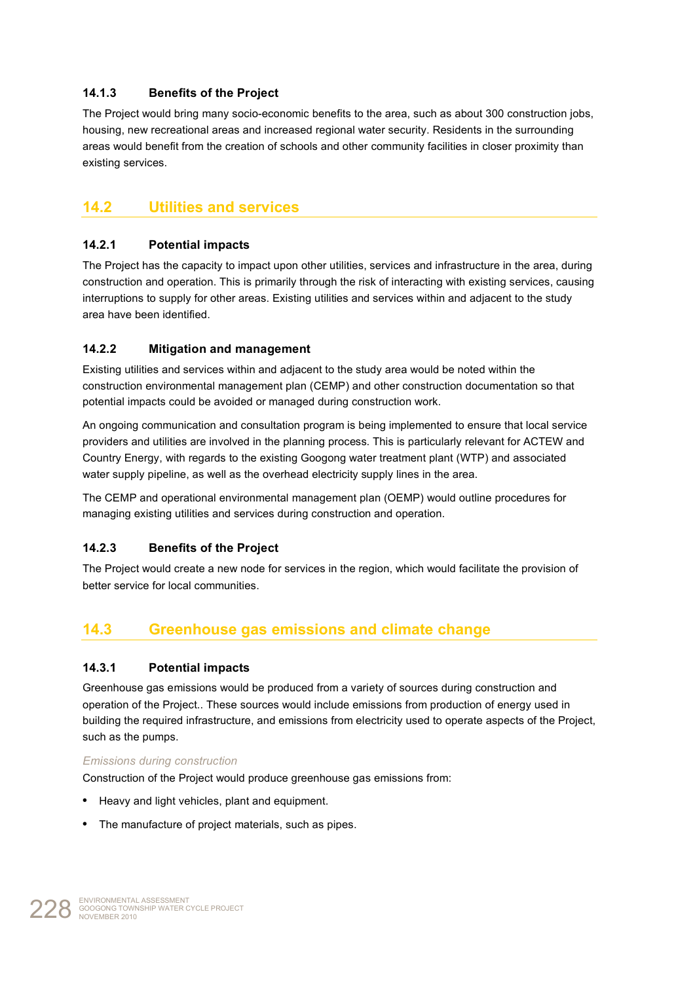# **14.1.3 Benefits of the Project**

The Project would bring many socio-economic benefits to the area, such as about 300 construction jobs, housing, new recreational areas and increased regional water security. Residents in the surrounding areas would benefit from the creation of schools and other community facilities in closer proximity than existing services.

# **14.2 Utilities and services**

## **14.2.1 Potential impacts**

The Project has the capacity to impact upon other utilities, services and infrastructure in the area, during construction and operation. This is primarily through the risk of interacting with existing services, causing interruptions to supply for other areas. Existing utilities and services within and adjacent to the study area have been identified.

## **14.2.2 Mitigation and management**

Existing utilities and services within and adjacent to the study area would be noted within the construction environmental management plan (CEMP) and other construction documentation so that potential impacts could be avoided or managed during construction work.

An ongoing communication and consultation program is being implemented to ensure that local service providers and utilities are involved in the planning process. This is particularly relevant for ACTEW and Country Energy, with regards to the existing Googong water treatment plant (WTP) and associated water supply pipeline, as well as the overhead electricity supply lines in the area.

The CEMP and operational environmental management plan (OEMP) would outline procedures for managing existing utilities and services during construction and operation.

## **14.2.3 Benefits of the Project**

The Project would create a new node for services in the region, which would facilitate the provision of better service for local communities.

# **14.3 Greenhouse gas emissions and climate change**

#### **14.3.1 Potential impacts**

Greenhouse gas emissions would be produced from a variety of sources during construction and operation of the Project.. These sources would include emissions from production of energy used in building the required infrastructure, and emissions from electricity used to operate aspects of the Project, such as the pumps.

#### *Emissions during construction*

Construction of the Project would produce greenhouse gas emissions from:

- **•** Heavy and light vehicles, plant and equipment.
- **•** The manufacture of project materials, such as pipes.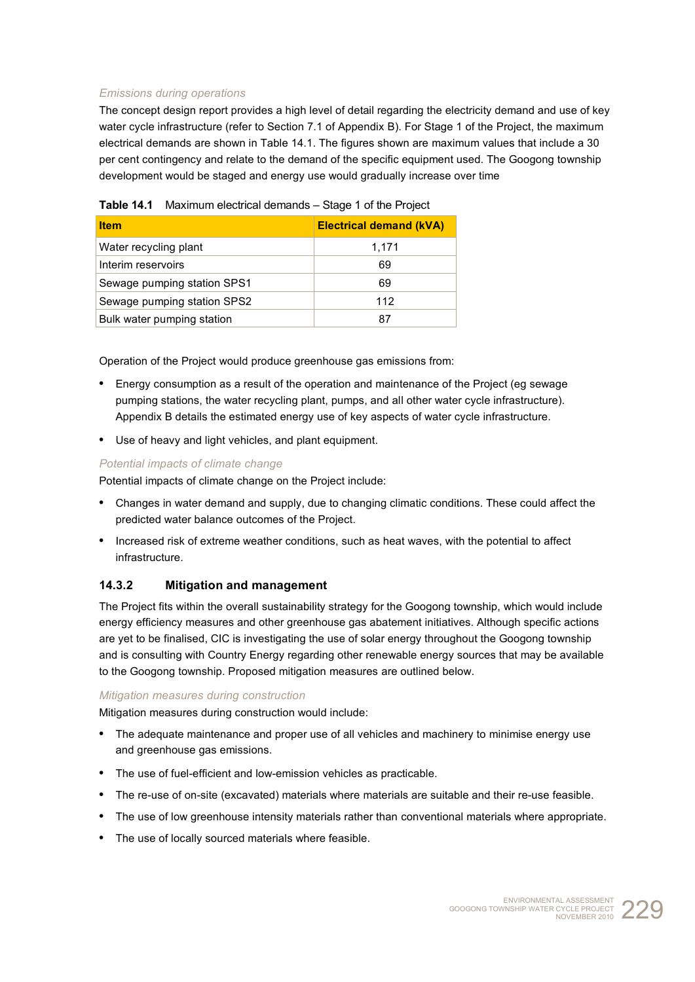## *Emissions during operations*

The concept design report provides a high level of detail regarding the electricity demand and use of key water cycle infrastructure (refer to Section 7.1 of Appendix B). For Stage 1 of the Project, the maximum electrical demands are shown in Table 14.1. The figures shown are maximum values that include a 30 per cent contingency and relate to the demand of the specific equipment used. The Googong township development would be staged and energy use would gradually increase over time

| <b>Item</b>                 | <b>Electrical demand (kVA)</b> |
|-----------------------------|--------------------------------|
| Water recycling plant       | 1,171                          |
| Interim reservoirs          | 69                             |
| Sewage pumping station SPS1 | 69                             |
| Sewage pumping station SPS2 | 112                            |
| Bulk water pumping station  | 87                             |

|  | Table 14.1 Maximum electrical demands - Stage 1 of the Project |  |
|--|----------------------------------------------------------------|--|
|--|----------------------------------------------------------------|--|

Operation of the Project would produce greenhouse gas emissions from:

- **•** Energy consumption as a result of the operation and maintenance of the Project (eg sewage pumping stations, the water recycling plant, pumps, and all other water cycle infrastructure). Appendix B details the estimated energy use of key aspects of water cycle infrastructure.
- **•** Use of heavy and light vehicles, and plant equipment.

#### *Potential impacts of climate change*

Potential impacts of climate change on the Project include:

- **•** Changes in water demand and supply, due to changing climatic conditions. These could affect the predicted water balance outcomes of the Project.
- **•** Increased risk of extreme weather conditions, such as heat waves, with the potential to affect infrastructure.

#### **14.3.2 Mitigation and management**

The Project fits within the overall sustainability strategy for the Googong township, which would include energy efficiency measures and other greenhouse gas abatement initiatives. Although specific actions are yet to be finalised, CIC is investigating the use of solar energy throughout the Googong township and is consulting with Country Energy regarding other renewable energy sources that may be available to the Googong township. Proposed mitigation measures are outlined below.

#### *Mitigation measures during construction*

Mitigation measures during construction would include:

- **•** The adequate maintenance and proper use of all vehicles and machinery to minimise energy use and greenhouse gas emissions.
- **•** The use of fuel-efficient and low-emission vehicles as practicable.
- **•** The re-use of on-site (excavated) materials where materials are suitable and their re-use feasible.
- **•** The use of low greenhouse intensity materials rather than conventional materials where appropriate.
- **•** The use of locally sourced materials where feasible.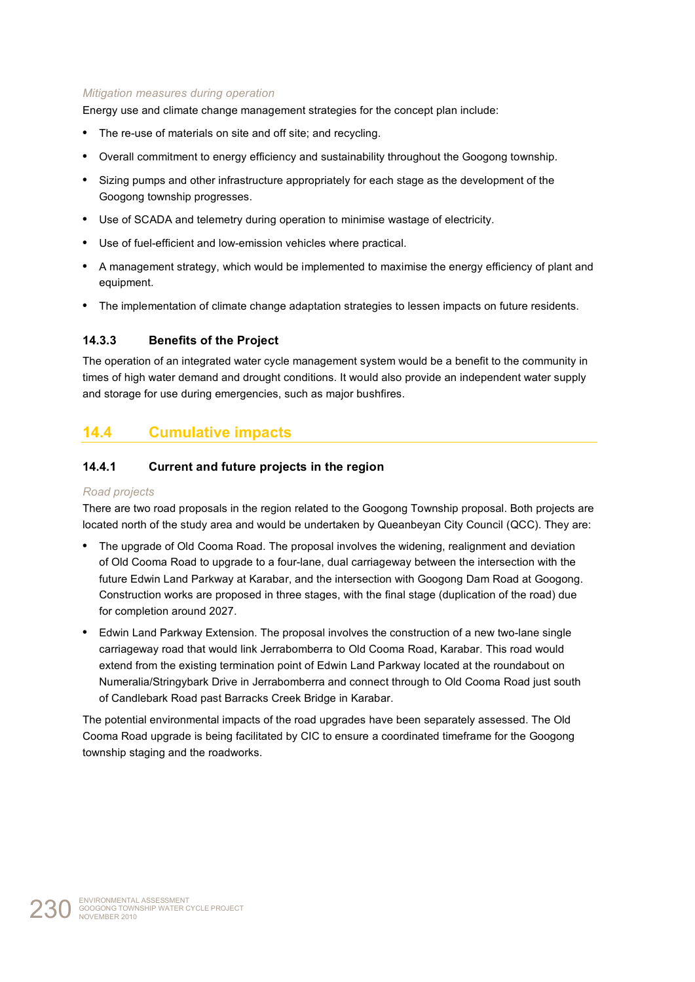#### *Mitigation measures during operation*

Energy use and climate change management strategies for the concept plan include:

- **•** The re-use of materials on site and off site; and recycling.
- **•** Overall commitment to energy efficiency and sustainability throughout the Googong township.
- **•** Sizing pumps and other infrastructure appropriately for each stage as the development of the Googong township progresses.
- **•** Use of SCADA and telemetry during operation to minimise wastage of electricity.
- **•** Use of fuel-efficient and low-emission vehicles where practical.
- **•** A management strategy, which would be implemented to maximise the energy efficiency of plant and equipment.
- **•** The implementation of climate change adaptation strategies to lessen impacts on future residents.

#### **14.3.3 Benefits of the Project**

The operation of an integrated water cycle management system would be a benefit to the community in times of high water demand and drought conditions. It would also provide an independent water supply and storage for use during emergencies, such as major bushfires.

# **14.4 Cumulative impacts**

## **14.4.1 Current and future projects in the region**

#### *Road projects*

There are two road proposals in the region related to the Googong Township proposal. Both projects are located north of the study area and would be undertaken by Queanbeyan City Council (QCC). They are:

- **•** The upgrade of Old Cooma Road. The proposal involves the widening, realignment and deviation of Old Cooma Road to upgrade to a four-lane, dual carriageway between the intersection with the future Edwin Land Parkway at Karabar, and the intersection with Googong Dam Road at Googong. Construction works are proposed in three stages, with the final stage (duplication of the road) due for completion around 2027.
- **•** Edwin Land Parkway Extension. The proposal involves the construction of a new two-lane single carriageway road that would link Jerrabomberra to Old Cooma Road, Karabar. This road would extend from the existing termination point of Edwin Land Parkway located at the roundabout on Numeralia/Stringybark Drive in Jerrabomberra and connect through to Old Cooma Road just south of Candlebark Road past Barracks Creek Bridge in Karabar.

The potential environmental impacts of the road upgrades have been separately assessed. The Old Cooma Road upgrade is being facilitated by CIC to ensure a coordinated timeframe for the Googong township staging and the roadworks.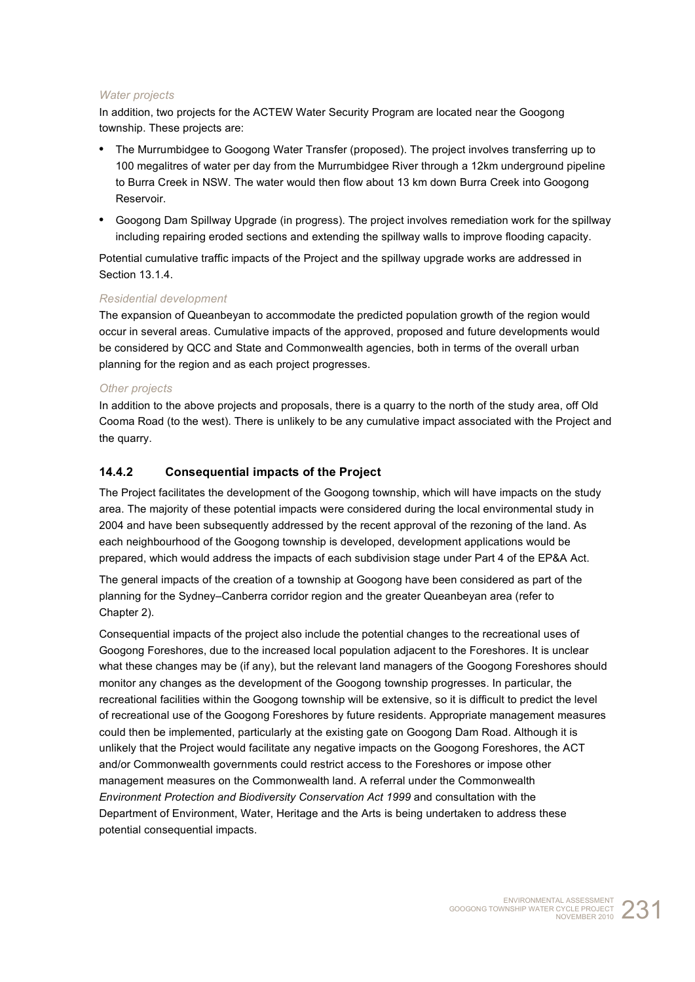#### *Water projects*

In addition, two projects for the ACTEW Water Security Program are located near the Googong township. These projects are:

- **•** The Murrumbidgee to Googong Water Transfer (proposed). The project involves transferring up to 100 megalitres of water per day from the Murrumbidgee River through a 12km underground pipeline to Burra Creek in NSW. The water would then flow about 13 km down Burra Creek into Googong Reservoir.
- **•** Googong Dam Spillway Upgrade (in progress). The project involves remediation work for the spillway including repairing eroded sections and extending the spillway walls to improve flooding capacity.

Potential cumulative traffic impacts of the Project and the spillway upgrade works are addressed in Section 13.1.4.

#### *Residential development*

The expansion of Queanbeyan to accommodate the predicted population growth of the region would occur in several areas. Cumulative impacts of the approved, proposed and future developments would be considered by QCC and State and Commonwealth agencies, both in terms of the overall urban planning for the region and as each project progresses.

#### *Other projects*

In addition to the above projects and proposals, there is a quarry to the north of the study area, off Old Cooma Road (to the west). There is unlikely to be any cumulative impact associated with the Project and the quarry.

#### **14.4.2 Consequential impacts of the Project**

The Project facilitates the development of the Googong township, which will have impacts on the study area. The majority of these potential impacts were considered during the local environmental study in 2004 and have been subsequently addressed by the recent approval of the rezoning of the land. As each neighbourhood of the Googong township is developed, development applications would be prepared, which would address the impacts of each subdivision stage under Part 4 of the EP&A Act.

The general impacts of the creation of a township at Googong have been considered as part of the planning for the Sydney–Canberra corridor region and the greater Queanbeyan area (refer to Chapter 2).

Consequential impacts of the project also include the potential changes to the recreational uses of Googong Foreshores, due to the increased local population adjacent to the Foreshores. It is unclear what these changes may be (if any), but the relevant land managers of the Googong Foreshores should monitor any changes as the development of the Googong township progresses. In particular, the recreational facilities within the Googong township will be extensive, so it is difficult to predict the level of recreational use of the Googong Foreshores by future residents. Appropriate management measures could then be implemented, particularly at the existing gate on Googong Dam Road. Although it is unlikely that the Project would facilitate any negative impacts on the Googong Foreshores, the ACT and/or Commonwealth governments could restrict access to the Foreshores or impose other management measures on the Commonwealth land. A referral under the Commonwealth *Environment Protection and Biodiversity Conservation Act 1999* and consultation with the Department of Environment, Water, Heritage and the Arts is being undertaken to address these potential consequential impacts.